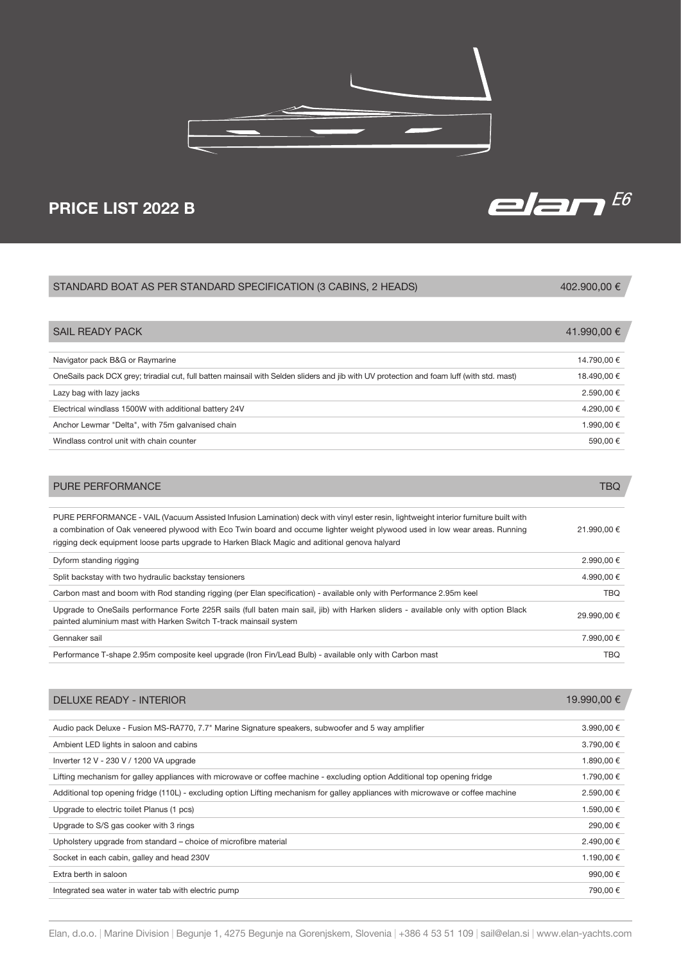

# PRICE LIST 2022 B

# Navigator pack B&G or Raymarine 14.790,00 € OneSails pack DCX grey; triradial cut, full batten mainsail with Selden sliders and jib with UV protection and foam luff (with std. mast) 18.490,00 € Lazy bag with lazy jacks  $2.590,00 \in$ Electrical windlass 1500W with additional battery 24V 4.290,00 € Anchor Lewmar "Delta", with 75m galvanised chain 1.990,00 € Windlass control unit with chain counter  $590,00 \in$ STANDARD BOAT AS PER STANDARD SPECIFICATION (3 CABINS, 2 HEADS) SAIL READY PACK 402.900,00 € 41.990,00 €

| <b>PURE PERFORMANCE</b>                                                                                                                                                                                                                                                                                                                                              | TBQ         |
|----------------------------------------------------------------------------------------------------------------------------------------------------------------------------------------------------------------------------------------------------------------------------------------------------------------------------------------------------------------------|-------------|
|                                                                                                                                                                                                                                                                                                                                                                      |             |
| PURE PERFORMANCE - VAIL (Vacuum Assisted Infusion Lamination) deck with vinyl ester resin, lightweight interior furniture built with<br>a combination of Oak veneered plywood with Eco Twin board and occume lighter weight plywood used in low wear areas. Running<br>rigging deck equipment loose parts upgrade to Harken Black Magic and aditional genova halyard | 21.990,00 € |
| Dyform standing rigging                                                                                                                                                                                                                                                                                                                                              | 2.990.00 €  |
| Split backstay with two hydraulic backstay tensioners                                                                                                                                                                                                                                                                                                                | 4.990.00 €  |
| Carbon mast and boom with Rod standing rigging (per Elan specification) - available only with Performance 2.95m keel                                                                                                                                                                                                                                                 | TBO.        |
| Upgrade to OneSails performance Forte 225R sails (full baten main sail, jib) with Harken sliders - available only with option Black<br>painted aluminium mast with Harken Switch T-track mainsail system                                                                                                                                                             | 29.990.00 € |
| Gennaker sail                                                                                                                                                                                                                                                                                                                                                        | 7.990.00 €  |
| Performance T-shape 2.95m composite keel upgrade (Iron Fin/Lead Bulb) - available only with Carbon mast                                                                                                                                                                                                                                                              | TBO         |

| <b>DELUXE READY - INTERIOR</b>                                                                                                   | 19.990,00 € |
|----------------------------------------------------------------------------------------------------------------------------------|-------------|
|                                                                                                                                  |             |
| Audio pack Deluxe - Fusion MS-RA770, 7.7" Marine Signature speakers, subwoofer and 5 way amplifier                               | 3.990,00 €  |
| Ambient LED lights in saloon and cabins                                                                                          | 3.790,00 €  |
| Inverter 12 V - 230 V / 1200 VA upgrade                                                                                          | 1.890,00 €  |
| Lifting mechanism for galley appliances with microwave or coffee machine - excluding option Additional top opening fridge        | 1.790,00 €  |
| Additional top opening fridge (110L) - excluding option Lifting mechanism for galley appliances with microwave or coffee machine | 2.590,00 €  |
| Upgrade to electric toilet Planus (1 pcs)                                                                                        | 1.590,00 €  |
| Upgrade to S/S gas cooker with 3 rings                                                                                           | 290,00 €    |
| Upholstery upgrade from standard – choice of microfibre material                                                                 | 2.490,00 €  |
| Socket in each cabin, galley and head 230V                                                                                       | 1.190,00 €  |
| Extra berth in saloon                                                                                                            | 990,00€     |
| Integrated sea water in water tab with electric pump                                                                             | 790,00 €    |

elan $^{E6}$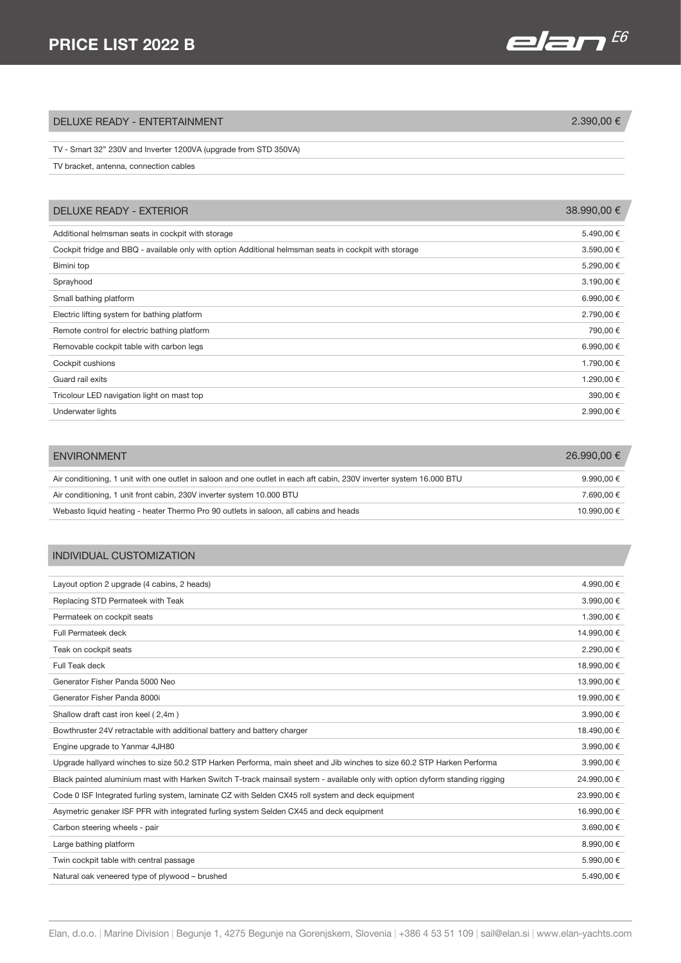## PRICE LIST 2022 B

# elan $^{E6}$

## $DELUXE READV - ENTERTAINMENT$  2.390,00 €

### TV - Smart 32" 230V and Inverter 1200VA (upgrade from STD 350VA)

TV bracket, antenna, connection cables

| DELUXE READY - EXTERIOR                                                                               | 38.990,00 € |
|-------------------------------------------------------------------------------------------------------|-------------|
| Additional helmsman seats in cockpit with storage                                                     | 5.490,00 €  |
| Cockpit fridge and BBQ - available only with option Additional helmsman seats in cockpit with storage | 3.590,00 €  |
| Bimini top                                                                                            | 5.290,00 €  |
| Sprayhood                                                                                             | 3.190,00 €  |
| Small bathing platform                                                                                | 6.990,00 €  |
| Electric lifting system for bathing platform                                                          | 2.790,00 €  |
| Remote control for electric bathing platform                                                          | 790,00 €    |
| Removable cockpit table with carbon legs                                                              | 6.990,00 €  |
| Cockpit cushions                                                                                      | 1.790,00 €  |
| Guard rail exits                                                                                      | 1.290,00 €  |
| Tricolour LED navigation light on mast top                                                            | 390,00 €    |
| Underwater lights                                                                                     | 2.990,00 €  |

| <b>ENVIRONMENT</b>                                                                                                   | 26.990.00 € |
|----------------------------------------------------------------------------------------------------------------------|-------------|
|                                                                                                                      |             |
| Air conditioning, 1 unit with one outlet in saloon and one outlet in each aft cabin, 230V inverter system 16,000 BTU | 9.990.00 €  |
| Air conditioning, 1 unit front cabin, 230V inverter system 10.000 BTU                                                | 7.690.00 €  |
| Webasto liquid heating - heater Thermo Pro 90 outlets in saloon, all cabins and heads                                | 10.990.00 € |

### INDIVIDUAL CUSTOMIZATION

| Layout option 2 upgrade (4 cabins, 2 heads)                                                                                  | 4.990,00 €  |
|------------------------------------------------------------------------------------------------------------------------------|-------------|
| Replacing STD Permateek with Teak                                                                                            | 3.990,00 €  |
| Permateek on cockpit seats                                                                                                   | 1.390,00 €  |
| Full Permateek deck                                                                                                          | 14.990,00 € |
| Teak on cockpit seats                                                                                                        | 2.290,00 €  |
| Full Teak deck                                                                                                               | 18.990,00 € |
| Generator Fisher Panda 5000 Neo                                                                                              | 13.990,00 € |
| Generator Fisher Panda 8000i                                                                                                 | 19.990,00 € |
| Shallow draft cast iron keel (2,4m)                                                                                          | 3.990,00 €  |
| Bowthruster 24V retractable with additional battery and battery charger                                                      | 18.490,00 € |
| Engine upgrade to Yanmar 4JH80                                                                                               | 3.990,00 €  |
| Upgrade hallyard winches to size 50.2 STP Harken Performa, main sheet and Jib winches to size 60.2 STP Harken Performa       | 3.990,00 €  |
| Black painted aluminium mast with Harken Switch T-track mainsail system - available only with option dyform standing rigging | 24.990,00 € |
| Code 0 ISF Integrated furling system, laminate CZ with Selden CX45 roll system and deck equipment                            | 23.990,00 € |
| Asymetric genaker ISF PFR with integrated furling system Selden CX45 and deck equipment                                      | 16.990,00 € |
| Carbon steering wheels - pair                                                                                                | 3.690,00 €  |
| Large bathing platform                                                                                                       | 8.990,00 €  |
| Twin cockpit table with central passage                                                                                      | 5.990,00 €  |
| Natural oak veneered type of plywood - brushed                                                                               | 5.490,00 €  |